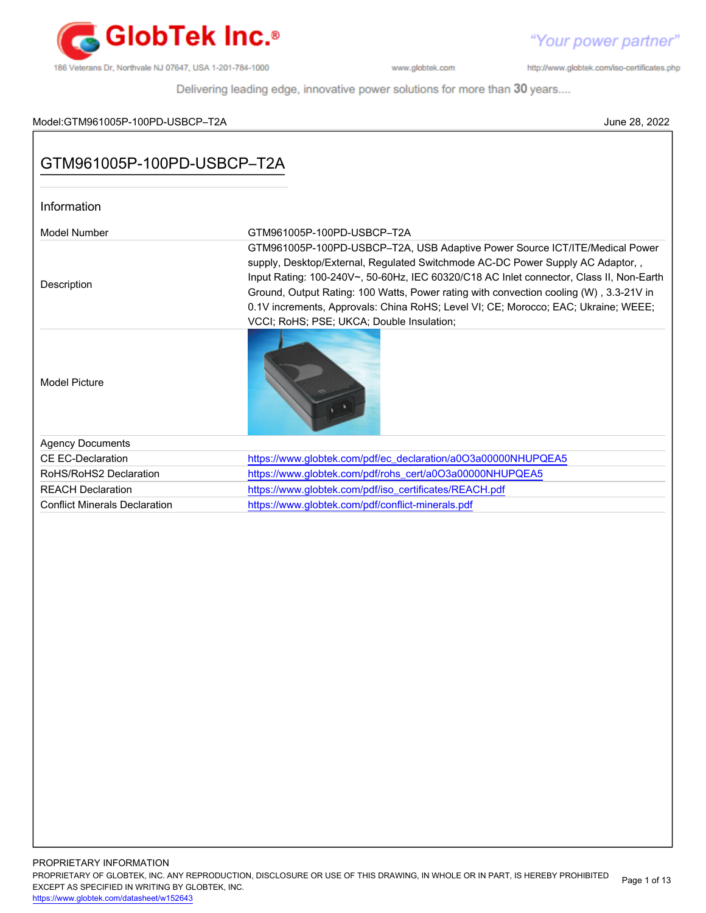

http://www.globtek.com/iso-certificates.php

Delivering leading edge, innovative power solutions for more than 30 years....

## Model:GTM961005P-100PD-USBCP–T2A June 28, 2022

# GTM961005P-100PD-USBCP–T2A

| Information                          |                                                                                                                                                                                                                                                                                                                                                                                                                                                                                       |
|--------------------------------------|---------------------------------------------------------------------------------------------------------------------------------------------------------------------------------------------------------------------------------------------------------------------------------------------------------------------------------------------------------------------------------------------------------------------------------------------------------------------------------------|
| Model Number                         | GTM961005P-100PD-USBCP-T2A                                                                                                                                                                                                                                                                                                                                                                                                                                                            |
| Description                          | GTM961005P-100PD-USBCP-T2A, USB Adaptive Power Source ICT/ITE/Medical Power<br>supply, Desktop/External, Regulated Switchmode AC-DC Power Supply AC Adaptor,,<br>Input Rating: 100-240V~, 50-60Hz, IEC 60320/C18 AC Inlet connector, Class II, Non-Earth<br>Ground, Output Rating: 100 Watts, Power rating with convection cooling (W), 3.3-21V in<br>0.1V increments, Approvals: China RoHS; Level VI; CE; Morocco; EAC; Ukraine; WEEE;<br>VCCI; RoHS; PSE; UKCA; Double Insulation; |
| <b>Model Picture</b>                 |                                                                                                                                                                                                                                                                                                                                                                                                                                                                                       |
| <b>Agency Documents</b>              |                                                                                                                                                                                                                                                                                                                                                                                                                                                                                       |
| <b>CE EC-Declaration</b>             | https://www.globtek.com/pdf/ec_declaration/a0O3a00000NHUPQEA5                                                                                                                                                                                                                                                                                                                                                                                                                         |
| RoHS/RoHS2 Declaration               | https://www.globtek.com/pdf/rohs_cert/a0O3a00000NHUPQEA5                                                                                                                                                                                                                                                                                                                                                                                                                              |
| <b>REACH Declaration</b>             | https://www.globtek.com/pdf/iso_certificates/REACH.pdf                                                                                                                                                                                                                                                                                                                                                                                                                                |
| <b>Conflict Minerals Declaration</b> | https://www.globtek.com/pdf/conflict-minerals.pdf                                                                                                                                                                                                                                                                                                                                                                                                                                     |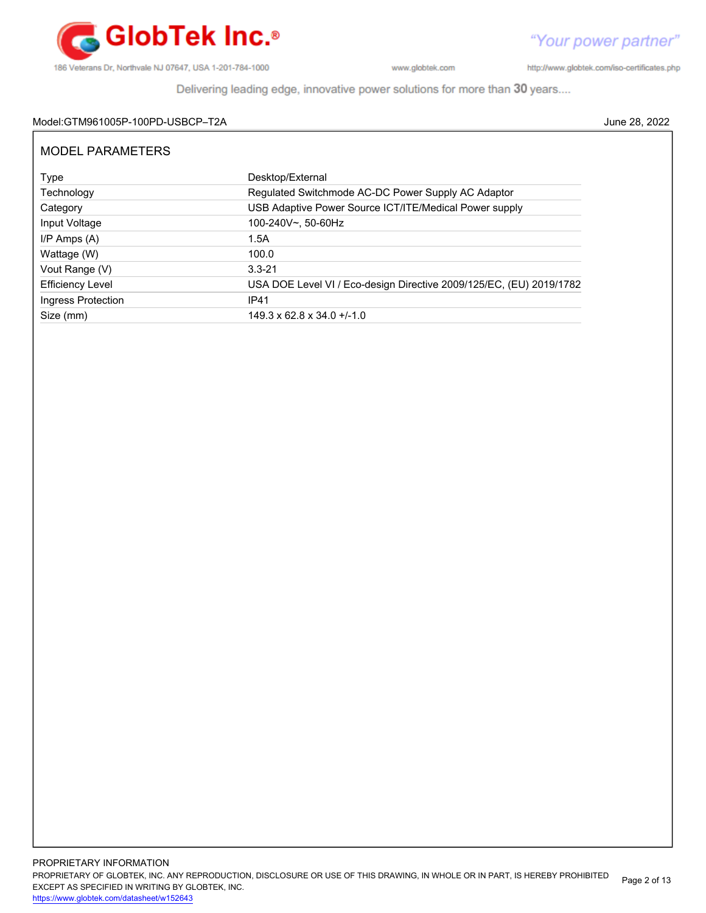

http://www.globtek.com/iso-certificates.php

Delivering leading edge, innovative power solutions for more than 30 years....

## Model:GTM961005P-100PD-USBCP–T2A June 28, 2022

| MODEL PARAMETERS        |                                                                     |  |  |  |  |
|-------------------------|---------------------------------------------------------------------|--|--|--|--|
| Type                    | Desktop/External                                                    |  |  |  |  |
| Technology              | Regulated Switchmode AC-DC Power Supply AC Adaptor                  |  |  |  |  |
| Category                | USB Adaptive Power Source ICT/ITE/Medical Power supply              |  |  |  |  |
| Input Voltage           | 100-240V~, 50-60Hz                                                  |  |  |  |  |
| $I/P$ Amps $(A)$        | 1.5A                                                                |  |  |  |  |
| Wattage (W)             | 100.0                                                               |  |  |  |  |
| Vout Range (V)          | $3.3 - 21$                                                          |  |  |  |  |
| <b>Efficiency Level</b> | USA DOE Level VI / Eco-design Directive 2009/125/EC, (EU) 2019/1782 |  |  |  |  |
| Ingress Protection      | <b>IP41</b>                                                         |  |  |  |  |
| Size (mm)               | $149.3 \times 62.8 \times 34.0 + (-1.0)$                            |  |  |  |  |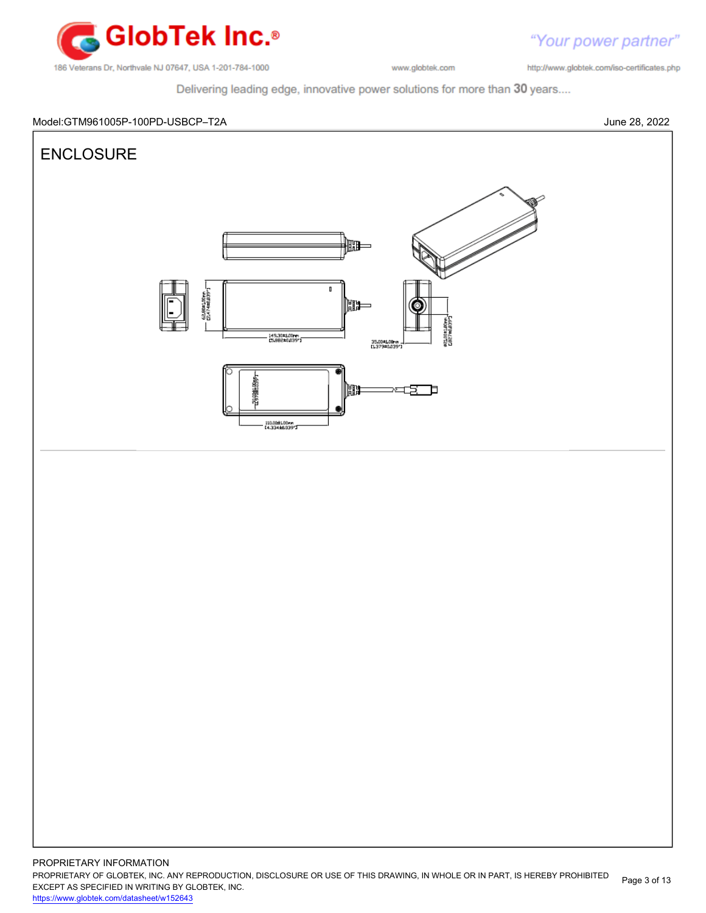

http://www.globtek.com/iso-certificates.php

Delivering leading edge, innovative power solutions for more than 30 years....

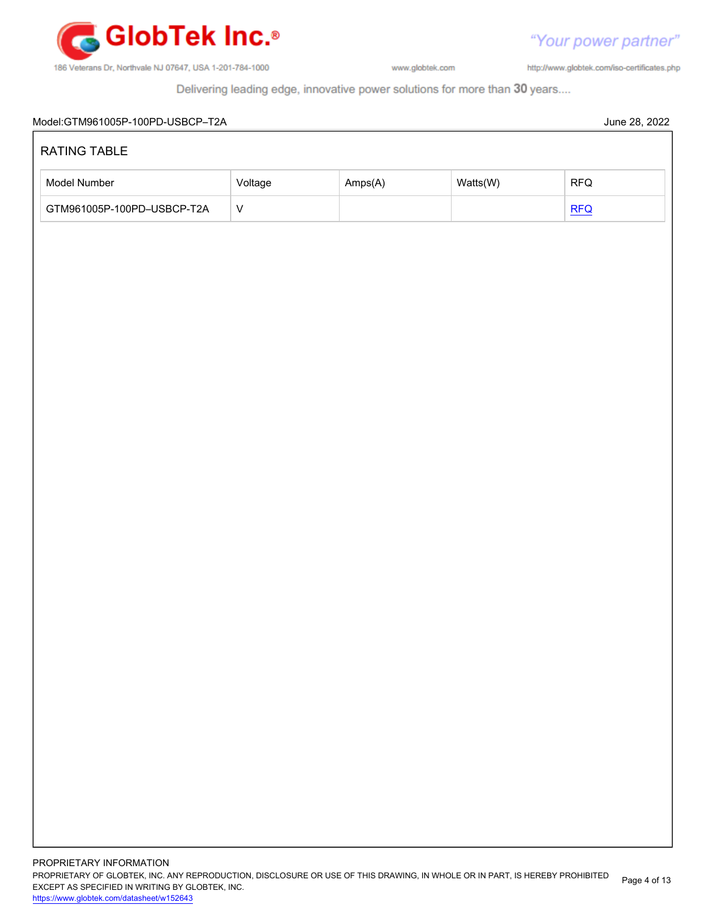

"Your power partner" http://www.globtek.com/iso-certificates.php

Delivering leading edge, innovative power solutions for more than 30 years....

| RATING TABLE               |              |         |          |                             |  |  |
|----------------------------|--------------|---------|----------|-----------------------------|--|--|
| Model Number               | Voltage      | Amps(A) | Watts(W) | $\ensuremath{\mathsf{RFQ}}$ |  |  |
| GTM961005P-100PD-USBCP-T2A | $\mathsf{V}$ |         |          |                             |  |  |
|                            |              |         |          | REQ                         |  |  |
|                            |              |         |          |                             |  |  |
|                            |              |         |          |                             |  |  |
|                            |              |         |          |                             |  |  |
|                            |              |         |          |                             |  |  |
|                            |              |         |          |                             |  |  |
|                            |              |         |          |                             |  |  |
|                            |              |         |          |                             |  |  |
|                            |              |         |          |                             |  |  |
|                            |              |         |          |                             |  |  |
|                            |              |         |          |                             |  |  |
|                            |              |         |          |                             |  |  |
|                            |              |         |          |                             |  |  |
|                            |              |         |          |                             |  |  |
|                            |              |         |          |                             |  |  |
|                            |              |         |          |                             |  |  |
|                            |              |         |          |                             |  |  |
|                            |              |         |          |                             |  |  |
|                            |              |         |          |                             |  |  |
|                            |              |         |          |                             |  |  |
|                            |              |         |          |                             |  |  |
|                            |              |         |          |                             |  |  |
|                            |              |         |          |                             |  |  |
|                            |              |         |          |                             |  |  |
|                            |              |         |          |                             |  |  |
|                            |              |         |          |                             |  |  |
|                            |              |         |          |                             |  |  |
|                            |              |         |          |                             |  |  |
|                            |              |         |          |                             |  |  |
|                            |              |         |          |                             |  |  |
|                            |              |         |          |                             |  |  |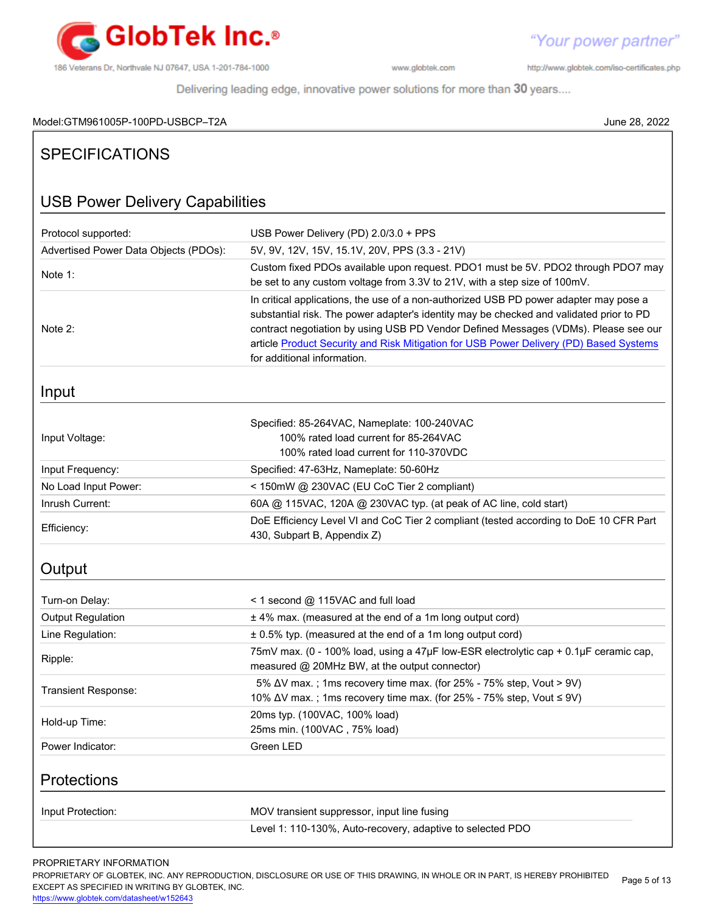

http://www.globtek.com/iso-certificates.php

Delivering leading edge, innovative power solutions for more than 30 years....

# Model:GTM961005P-100PD-USBCP–T2A June 28, 2022

| <b>SPECIFICATIONS</b>                  |                                                                                                                                                                                                                                                                                                                                                                                                  |  |  |  |  |  |  |
|----------------------------------------|--------------------------------------------------------------------------------------------------------------------------------------------------------------------------------------------------------------------------------------------------------------------------------------------------------------------------------------------------------------------------------------------------|--|--|--|--|--|--|
| <b>USB Power Delivery Capabilities</b> |                                                                                                                                                                                                                                                                                                                                                                                                  |  |  |  |  |  |  |
| Protocol supported:                    | USB Power Delivery (PD) 2.0/3.0 + PPS                                                                                                                                                                                                                                                                                                                                                            |  |  |  |  |  |  |
| Advertised Power Data Objects (PDOs):  | 5V, 9V, 12V, 15V, 15.1V, 20V, PPS (3.3 - 21V)                                                                                                                                                                                                                                                                                                                                                    |  |  |  |  |  |  |
| Note 1:                                | Custom fixed PDOs available upon request. PDO1 must be 5V. PDO2 through PDO7 may<br>be set to any custom voltage from 3.3V to 21V, with a step size of 100mV.                                                                                                                                                                                                                                    |  |  |  |  |  |  |
| Note 2:                                | In critical applications, the use of a non-authorized USB PD power adapter may pose a<br>substantial risk. The power adapter's identity may be checked and validated prior to PD<br>contract negotiation by using USB PD Vendor Defined Messages (VDMs). Please see our<br>article Product Security and Risk Mitigation for USB Power Delivery (PD) Based Systems<br>for additional information. |  |  |  |  |  |  |
| Input                                  |                                                                                                                                                                                                                                                                                                                                                                                                  |  |  |  |  |  |  |
| Input Voltage:                         | Specified: 85-264VAC, Nameplate: 100-240VAC<br>100% rated load current for 85-264VAC<br>100% rated load current for 110-370VDC                                                                                                                                                                                                                                                                   |  |  |  |  |  |  |
| Input Frequency:                       | Specified: 47-63Hz, Nameplate: 50-60Hz                                                                                                                                                                                                                                                                                                                                                           |  |  |  |  |  |  |
| No Load Input Power:                   | < 150mW @ 230VAC (EU CoC Tier 2 compliant)                                                                                                                                                                                                                                                                                                                                                       |  |  |  |  |  |  |
| Inrush Current:                        | 60A @ 115VAC, 120A @ 230VAC typ. (at peak of AC line, cold start)                                                                                                                                                                                                                                                                                                                                |  |  |  |  |  |  |
| Efficiency:                            | DoE Efficiency Level VI and CoC Tier 2 compliant (tested according to DoE 10 CFR Part<br>430, Subpart B, Appendix Z)                                                                                                                                                                                                                                                                             |  |  |  |  |  |  |
| Output                                 |                                                                                                                                                                                                                                                                                                                                                                                                  |  |  |  |  |  |  |
| Turn-on Delay:                         | < 1 second @ 115VAC and full load                                                                                                                                                                                                                                                                                                                                                                |  |  |  |  |  |  |
| <b>Output Regulation</b>               | ± 4% max. (measured at the end of a 1m long output cord)                                                                                                                                                                                                                                                                                                                                         |  |  |  |  |  |  |
| Line Regulation:                       | ± 0.5% typ. (measured at the end of a 1m long output cord)                                                                                                                                                                                                                                                                                                                                       |  |  |  |  |  |  |
| Ripple:                                | 75mV max. (0 - 100% load, using a 47µF low-ESR electrolytic cap + 0.1µF ceramic cap,<br>measured @ 20MHz BW, at the output connector)                                                                                                                                                                                                                                                            |  |  |  |  |  |  |
| Transient Response:                    | 5% ΔV max.; 1ms recovery time max. (for 25% - 75% step, Vout > 9V)<br>10% ∆V max.; 1ms recovery time max. (for 25% - 75% step, Vout ≤ 9V)                                                                                                                                                                                                                                                        |  |  |  |  |  |  |
| Hold-up Time:                          | 20ms typ. (100VAC, 100% load)<br>25ms min. (100VAC, 75% load)                                                                                                                                                                                                                                                                                                                                    |  |  |  |  |  |  |
| Power Indicator:                       | Green LED                                                                                                                                                                                                                                                                                                                                                                                        |  |  |  |  |  |  |
| Protections                            |                                                                                                                                                                                                                                                                                                                                                                                                  |  |  |  |  |  |  |
| Input Protection:                      | MOV transient suppressor, input line fusing                                                                                                                                                                                                                                                                                                                                                      |  |  |  |  |  |  |
|                                        | Level 1: 110-130%, Auto-recovery, adaptive to selected PDO                                                                                                                                                                                                                                                                                                                                       |  |  |  |  |  |  |

# PROPRIETARY INFORMATION

PROPRIETARY OF GLOBTEK, INC. ANY REPRODUCTION, DISCLOSURE OR USE OF THIS DRAWING, IN WHOLE OR IN PART, IS HEREBY PROHIBITED EXCEPT AS SPECIFIED IN WRITING BY GLOBTEK, INC. Page 5 of 13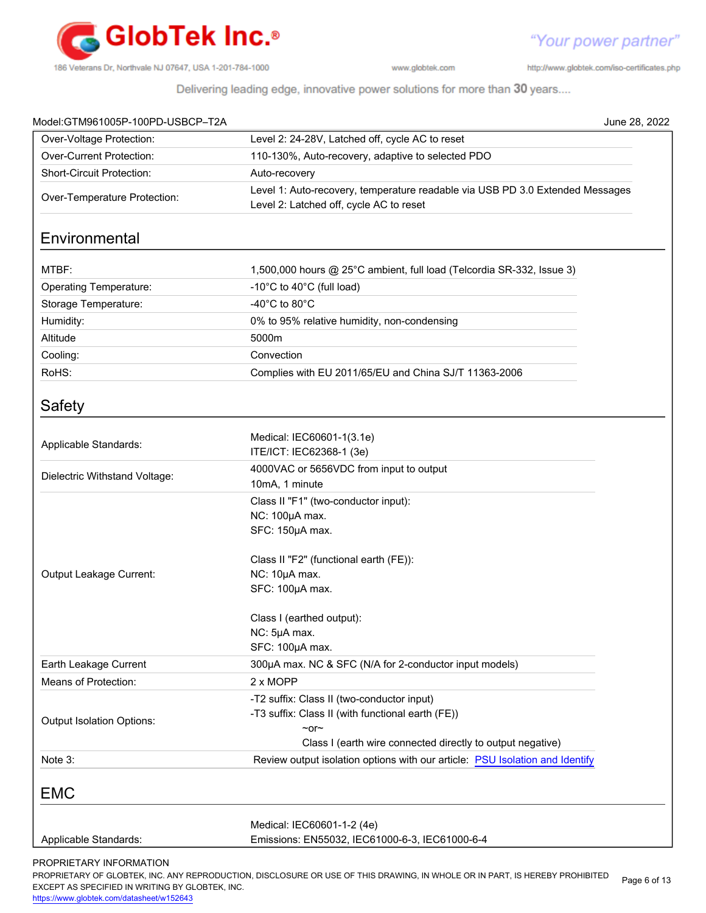

http://www.globtek.com/iso-certificates.php

"Your power partner"

Delivering leading edge, innovative power solutions for more than 30 years....

|                                                                                                                          | June 28, 2022                                                                                                                                                                                                                                                                                                                                                                                                                                                                                                       |
|--------------------------------------------------------------------------------------------------------------------------|---------------------------------------------------------------------------------------------------------------------------------------------------------------------------------------------------------------------------------------------------------------------------------------------------------------------------------------------------------------------------------------------------------------------------------------------------------------------------------------------------------------------|
| Level 2: 24-28V, Latched off, cycle AC to reset                                                                          |                                                                                                                                                                                                                                                                                                                                                                                                                                                                                                                     |
| 110-130%, Auto-recovery, adaptive to selected PDO                                                                        |                                                                                                                                                                                                                                                                                                                                                                                                                                                                                                                     |
| Auto-recovery                                                                                                            |                                                                                                                                                                                                                                                                                                                                                                                                                                                                                                                     |
| Level 1: Auto-recovery, temperature readable via USB PD 3.0 Extended Messages<br>Level 2: Latched off, cycle AC to reset |                                                                                                                                                                                                                                                                                                                                                                                                                                                                                                                     |
|                                                                                                                          |                                                                                                                                                                                                                                                                                                                                                                                                                                                                                                                     |
| 1,500,000 hours @ 25°C ambient, full load (Telcordia SR-332, Issue 3)                                                    |                                                                                                                                                                                                                                                                                                                                                                                                                                                                                                                     |
| -10°C to 40°C (full load)                                                                                                |                                                                                                                                                                                                                                                                                                                                                                                                                                                                                                                     |
| -40 $^{\circ}$ C to 80 $^{\circ}$ C                                                                                      |                                                                                                                                                                                                                                                                                                                                                                                                                                                                                                                     |
| 0% to 95% relative humidity, non-condensing                                                                              |                                                                                                                                                                                                                                                                                                                                                                                                                                                                                                                     |
| 5000m                                                                                                                    |                                                                                                                                                                                                                                                                                                                                                                                                                                                                                                                     |
| Convection                                                                                                               |                                                                                                                                                                                                                                                                                                                                                                                                                                                                                                                     |
|                                                                                                                          |                                                                                                                                                                                                                                                                                                                                                                                                                                                                                                                     |
|                                                                                                                          |                                                                                                                                                                                                                                                                                                                                                                                                                                                                                                                     |
|                                                                                                                          |                                                                                                                                                                                                                                                                                                                                                                                                                                                                                                                     |
| Medical: IEC60601-1(3.1e)                                                                                                |                                                                                                                                                                                                                                                                                                                                                                                                                                                                                                                     |
|                                                                                                                          |                                                                                                                                                                                                                                                                                                                                                                                                                                                                                                                     |
|                                                                                                                          |                                                                                                                                                                                                                                                                                                                                                                                                                                                                                                                     |
|                                                                                                                          |                                                                                                                                                                                                                                                                                                                                                                                                                                                                                                                     |
|                                                                                                                          |                                                                                                                                                                                                                                                                                                                                                                                                                                                                                                                     |
| SFC: 150µA max.                                                                                                          |                                                                                                                                                                                                                                                                                                                                                                                                                                                                                                                     |
|                                                                                                                          |                                                                                                                                                                                                                                                                                                                                                                                                                                                                                                                     |
| Class II "F2" (functional earth (FE)):                                                                                   |                                                                                                                                                                                                                                                                                                                                                                                                                                                                                                                     |
|                                                                                                                          |                                                                                                                                                                                                                                                                                                                                                                                                                                                                                                                     |
|                                                                                                                          |                                                                                                                                                                                                                                                                                                                                                                                                                                                                                                                     |
|                                                                                                                          |                                                                                                                                                                                                                                                                                                                                                                                                                                                                                                                     |
|                                                                                                                          |                                                                                                                                                                                                                                                                                                                                                                                                                                                                                                                     |
|                                                                                                                          |                                                                                                                                                                                                                                                                                                                                                                                                                                                                                                                     |
|                                                                                                                          |                                                                                                                                                                                                                                                                                                                                                                                                                                                                                                                     |
|                                                                                                                          |                                                                                                                                                                                                                                                                                                                                                                                                                                                                                                                     |
|                                                                                                                          |                                                                                                                                                                                                                                                                                                                                                                                                                                                                                                                     |
|                                                                                                                          |                                                                                                                                                                                                                                                                                                                                                                                                                                                                                                                     |
| $\sim$ or $\sim$                                                                                                         |                                                                                                                                                                                                                                                                                                                                                                                                                                                                                                                     |
| Class I (earth wire connected directly to output negative)                                                               |                                                                                                                                                                                                                                                                                                                                                                                                                                                                                                                     |
| Review output isolation options with our article: PSU Isolation and Identify                                             |                                                                                                                                                                                                                                                                                                                                                                                                                                                                                                                     |
|                                                                                                                          |                                                                                                                                                                                                                                                                                                                                                                                                                                                                                                                     |
|                                                                                                                          |                                                                                                                                                                                                                                                                                                                                                                                                                                                                                                                     |
| Emissions: EN55032, IEC61000-6-3, IEC61000-6-4                                                                           |                                                                                                                                                                                                                                                                                                                                                                                                                                                                                                                     |
|                                                                                                                          | Complies with EU 2011/65/EU and China SJ/T 11363-2006<br>ITE/ICT: IEC62368-1 (3e)<br>4000VAC or 5656VDC from input to output<br>10mA, 1 minute<br>Class II "F1" (two-conductor input):<br>NC: 100µA max.<br>NC: 10µA max.<br>SFC: 100µA max.<br>Class I (earthed output):<br>NC: 5µA max.<br>SFC: 100µA max.<br>300µA max. NC & SFC (N/A for 2-conductor input models)<br>2 x MOPP<br>-T2 suffix: Class II (two-conductor input)<br>-T3 suffix: Class II (with functional earth (FE))<br>Medical: IEC60601-1-2 (4e) |

PROPRIETARY OF GLOBTEK, INC. ANY REPRODUCTION, DISCLOSURE OR USE OF THIS DRAWING, IN WHOLE OR IN PART, IS HEREBY PROHIBITED EXCEPT AS SPECIFIED IN WRITING BY GLOBTEK, INC. Page 6 of 13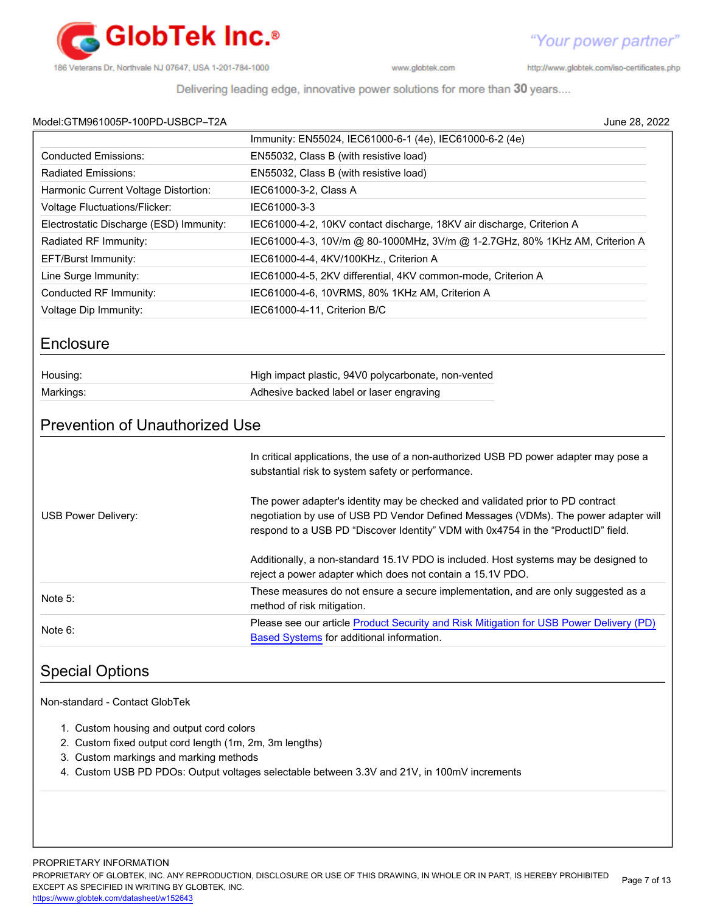

http://www.globtek.com/iso-certificates.php

Delivering leading edge, innovative power solutions for more than 30 years....

# Model:GTM961005P-100PD-USBCP–T2A June 28, 2022

| M0081:GTM961005P-100PD-USBCP-TZA                                                                                                              | June z8. zuzz                                                                                                                                                                                                                                                                                                                                                                                            |  |  |  |  |  |
|-----------------------------------------------------------------------------------------------------------------------------------------------|----------------------------------------------------------------------------------------------------------------------------------------------------------------------------------------------------------------------------------------------------------------------------------------------------------------------------------------------------------------------------------------------------------|--|--|--|--|--|
|                                                                                                                                               | Immunity: EN55024, IEC61000-6-1 (4e), IEC61000-6-2 (4e)                                                                                                                                                                                                                                                                                                                                                  |  |  |  |  |  |
| <b>Conducted Emissions:</b>                                                                                                                   | EN55032, Class B (with resistive load)                                                                                                                                                                                                                                                                                                                                                                   |  |  |  |  |  |
| <b>Radiated Emissions:</b>                                                                                                                    | EN55032, Class B (with resistive load)                                                                                                                                                                                                                                                                                                                                                                   |  |  |  |  |  |
| Harmonic Current Voltage Distortion:                                                                                                          | IEC61000-3-2, Class A                                                                                                                                                                                                                                                                                                                                                                                    |  |  |  |  |  |
| <b>Voltage Fluctuations/Flicker:</b>                                                                                                          | IEC61000-3-3                                                                                                                                                                                                                                                                                                                                                                                             |  |  |  |  |  |
| Electrostatic Discharge (ESD) Immunity:                                                                                                       | IEC61000-4-2, 10KV contact discharge, 18KV air discharge, Criterion A                                                                                                                                                                                                                                                                                                                                    |  |  |  |  |  |
| Radiated RF Immunity:                                                                                                                         | IEC61000-4-3, 10V/m @ 80-1000MHz, 3V/m @ 1-2.7GHz, 80% 1KHz AM, Criterion A                                                                                                                                                                                                                                                                                                                              |  |  |  |  |  |
| EFT/Burst Immunity:                                                                                                                           | IEC61000-4-4, 4KV/100KHz., Criterion A                                                                                                                                                                                                                                                                                                                                                                   |  |  |  |  |  |
| Line Surge Immunity:                                                                                                                          | IEC61000-4-5, 2KV differential, 4KV common-mode, Criterion A                                                                                                                                                                                                                                                                                                                                             |  |  |  |  |  |
| Conducted RF Immunity:                                                                                                                        | IEC61000-4-6, 10VRMS, 80% 1KHz AM, Criterion A                                                                                                                                                                                                                                                                                                                                                           |  |  |  |  |  |
| Voltage Dip Immunity:                                                                                                                         | IEC61000-4-11, Criterion B/C                                                                                                                                                                                                                                                                                                                                                                             |  |  |  |  |  |
| Enclosure                                                                                                                                     |                                                                                                                                                                                                                                                                                                                                                                                                          |  |  |  |  |  |
| Housing:                                                                                                                                      | High impact plastic, 94V0 polycarbonate, non-vented                                                                                                                                                                                                                                                                                                                                                      |  |  |  |  |  |
| Markings:                                                                                                                                     | Adhesive backed label or laser engraving                                                                                                                                                                                                                                                                                                                                                                 |  |  |  |  |  |
| USB Power Delivery:                                                                                                                           | In critical applications, the use of a non-authorized USB PD power adapter may pose a<br>substantial risk to system safety or performance.<br>The power adapter's identity may be checked and validated prior to PD contract<br>negotiation by use of USB PD Vendor Defined Messages (VDMs). The power adapter will<br>respond to a USB PD "Discover Identity" VDM with 0x4754 in the "ProductID" field. |  |  |  |  |  |
|                                                                                                                                               | Additionally, a non-standard 15.1V PDO is included. Host systems may be designed to<br>reject a power adapter which does not contain a 15.1V PDO.                                                                                                                                                                                                                                                        |  |  |  |  |  |
| Note 5:                                                                                                                                       | These measures do not ensure a secure implementation, and are only suggested as a<br>method of risk mitigation.                                                                                                                                                                                                                                                                                          |  |  |  |  |  |
| Note 6:                                                                                                                                       | Please see our article Product Security and Risk Mitigation for USB Power Delivery (PD)<br><b>Based Systems</b> for additional information.                                                                                                                                                                                                                                                              |  |  |  |  |  |
| <b>Special Options</b>                                                                                                                        |                                                                                                                                                                                                                                                                                                                                                                                                          |  |  |  |  |  |
| Non-standard - Contact GlobTek                                                                                                                |                                                                                                                                                                                                                                                                                                                                                                                                          |  |  |  |  |  |
| 1. Custom housing and output cord colors<br>2. Custom fixed output cord length (1m, 2m, 3m lengths)<br>3. Custom markings and marking methods | 4. Custom USB PD PDOs: Output voltages selectable between 3.3V and 21V, in 100mV increments                                                                                                                                                                                                                                                                                                              |  |  |  |  |  |
|                                                                                                                                               |                                                                                                                                                                                                                                                                                                                                                                                                          |  |  |  |  |  |

PROPRIETARY INFORMATION

PROPRIETARY OF GLOBTEK, INC. ANY REPRODUCTION, DISCLOSURE OR USE OF THIS DRAWING, IN WHOLE OR IN PART, IS HEREBY PROHIBITED EXCEPT AS SPECIFIED IN WRITING BY GLOBTEK, INC. Page 7 of 13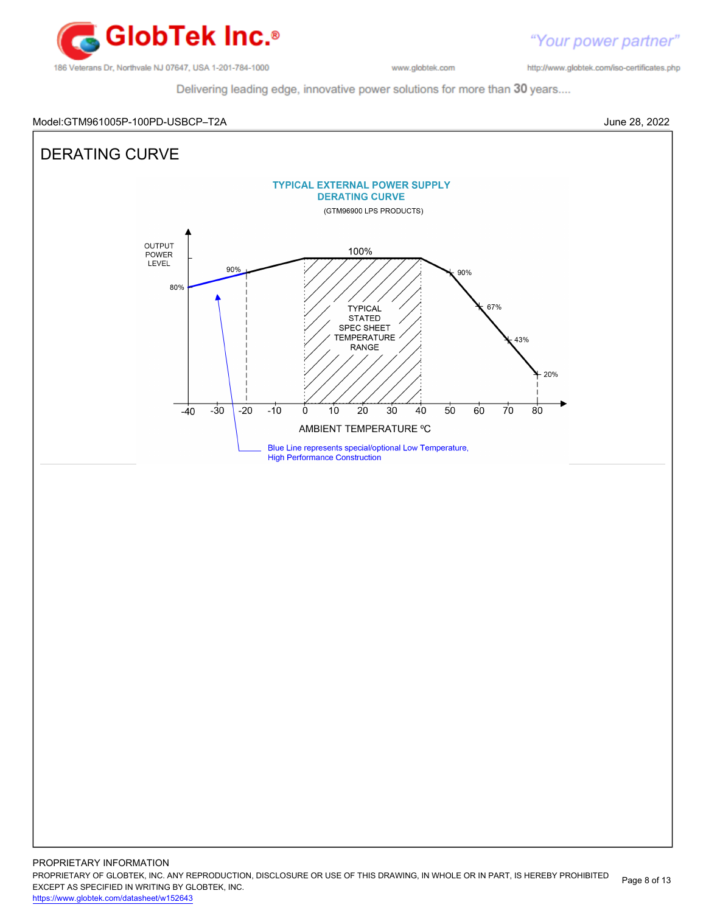

http://www.globtek.com/iso-certificates.php

"Your power partner"

Delivering leading edge, innovative power solutions for more than 30 years....

#### Model:GTM961005P-100PD-USBCP–T2A June 28, 2022



PROPRIETARY OF GLOBTEK, INC. ANY REPRODUCTION, DISCLOSURE OR USE OF THIS DRAWING, IN WHOLE OR IN PART, IS HEREBY PROHIBITED EXCEPT AS SPECIFIED IN WRITING BY GLOBTEK, INC. Page 8 of 13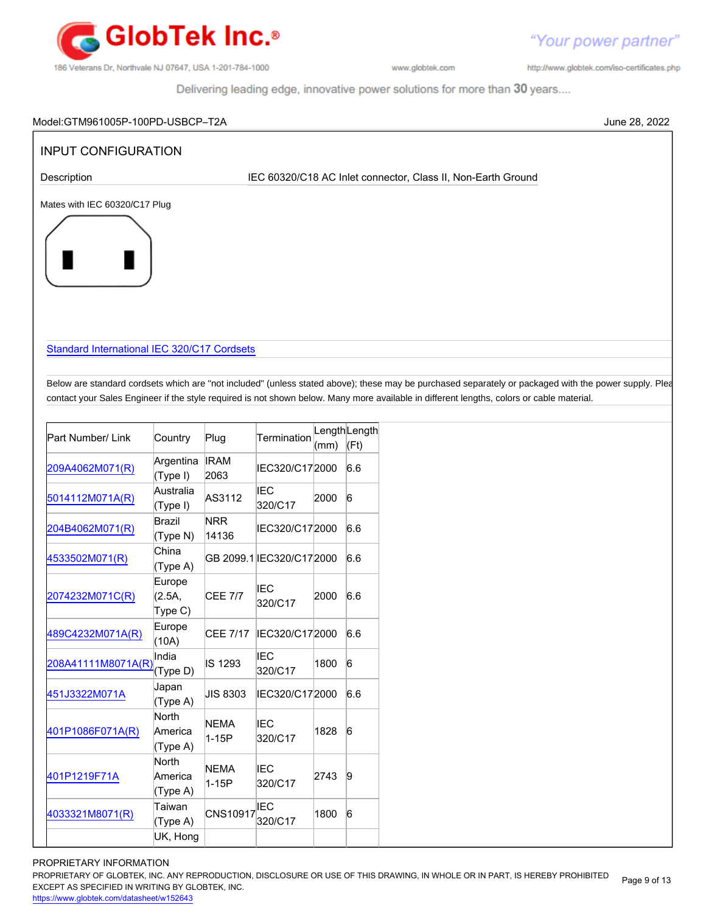

http://www.globtek.com/iso-certificates.php

"Your power partner"

Delivering leading edge, innovative power solutions for more than 30 years....

| <b>INPUT CONFIGURATION</b>                                                                                                                            |                    |                     |                                                              |        |                 |
|-------------------------------------------------------------------------------------------------------------------------------------------------------|--------------------|---------------------|--------------------------------------------------------------|--------|-----------------|
| Description                                                                                                                                           |                    |                     | IEC 60320/C18 AC Inlet connector, Class II, Non-Earth Ground |        |                 |
| Mates with IEC 60320/C17 Plug                                                                                                                         |                    |                     |                                                              |        |                 |
|                                                                                                                                                       |                    |                     |                                                              |        |                 |
|                                                                                                                                                       |                    |                     |                                                              |        |                 |
|                                                                                                                                                       |                    |                     |                                                              |        |                 |
|                                                                                                                                                       |                    |                     |                                                              |        |                 |
|                                                                                                                                                       |                    |                     |                                                              |        |                 |
|                                                                                                                                                       |                    |                     |                                                              |        |                 |
| Standard International IEC 320/C17 Cordsets                                                                                                           |                    |                     |                                                              |        |                 |
|                                                                                                                                                       |                    |                     |                                                              |        |                 |
| Below are standard cordsets which are "not included" (unless stated above); these may be purchased separately or packaged with the power supply. Plea |                    |                     |                                                              |        |                 |
| contact your Sales Engineer if the style required is not shown below. Many more available in different lengths, colors or cable material.             |                    |                     |                                                              |        |                 |
|                                                                                                                                                       |                    |                     |                                                              |        |                 |
| Part Number/ Link                                                                                                                                     | Country            | Plug                | Termination                                                  |        | LengthLength    |
|                                                                                                                                                       | Argentina          | <b>IRAM</b>         |                                                              | (mm)   | (Ft)            |
| 209A4062M071(R)                                                                                                                                       | (Type I)           | 2063                | IEC320/C172000                                               |        | 6.6             |
| 5014112M071A(R)                                                                                                                                       | Australia          | AS3112              | <b>IEC</b>                                                   | 2000   | $\vert 6 \vert$ |
|                                                                                                                                                       | (Type I)           |                     | 320/C17                                                      |        |                 |
| 204B4062M071(R)                                                                                                                                       | Brazil<br>(Type N) | <b>NRR</b><br>14136 | IEC320/C172000                                               |        | 6.6             |
|                                                                                                                                                       | China              |                     |                                                              |        |                 |
| 4533502M071(R)                                                                                                                                        | (Type A)           |                     | GB 2099.1 EC320/C172000                                      |        | 6.6             |
|                                                                                                                                                       | Europe             |                     | <b>IEC</b>                                                   |        |                 |
| 2074232M071C(R)                                                                                                                                       | (2.5A,             | <b>CEE 7/7</b>      | 320/C17                                                      | 2000   | 6.6             |
|                                                                                                                                                       | Type C)<br>Europe  |                     |                                                              |        |                 |
| 489C4232M071A(R)                                                                                                                                      | (10A)              |                     | CEE 7/17 IEC320/C172000 6.6                                  |        |                 |
| 208A41111M8071A(R)                                                                                                                                    | India              | IS 1293             | <b>IEC</b>                                                   | 1800   | $6\overline{6}$ |
|                                                                                                                                                       | (Type D)           |                     | 320/C17                                                      |        |                 |
|                                                                                                                                                       | Japan              | JIS 8303            | IEC320/C172000                                               |        | 6.6             |
|                                                                                                                                                       |                    |                     |                                                              |        |                 |
|                                                                                                                                                       | (Type A)           |                     |                                                              |        |                 |
|                                                                                                                                                       | North<br>America   | <b>NEMA</b>         | <b>IEC</b>                                                   | 1828   | 6               |
|                                                                                                                                                       | (Type A)           | $1-15P$             | 320/C17                                                      |        |                 |
|                                                                                                                                                       | North              | <b>NEMA</b>         | <b>IEC</b>                                                   |        |                 |
|                                                                                                                                                       | America            | $1-15P$             | 320/C17                                                      | 2743   | 9               |
| 451J3322M071A<br>401P1086F071A(R)<br>401P1219F71A                                                                                                     | (Type A)<br>Taiwan |                     | <b>IEC</b>                                                   |        |                 |
| 4033321M8071(R)                                                                                                                                       | (Type A)           | CNS10917            | 320/C17                                                      | 1800 6 |                 |

<https://www.globtek.com/datasheet/w152643>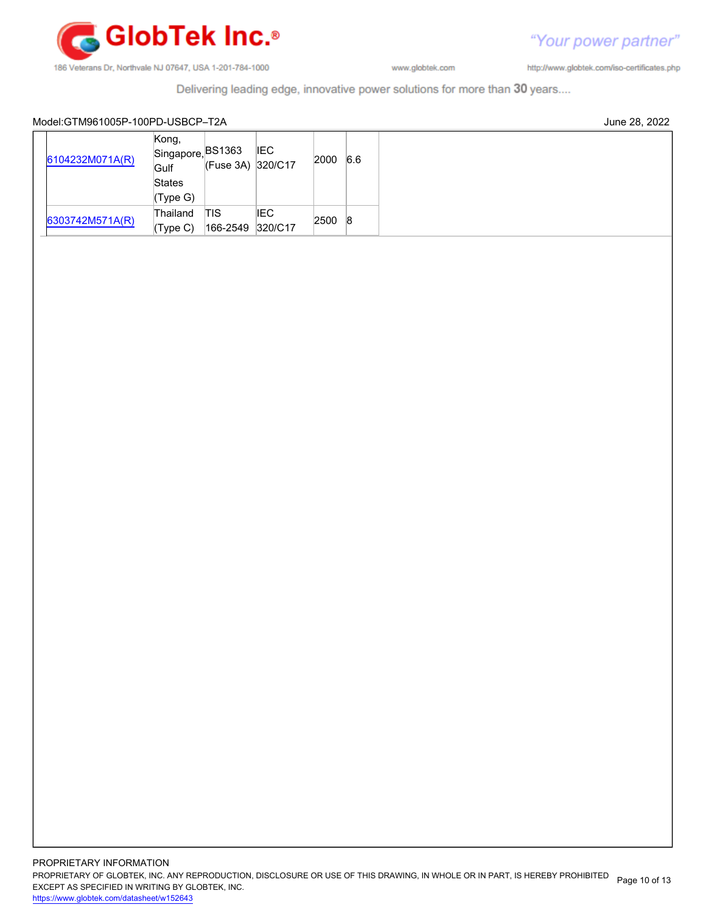

http://www.globtek.com/iso-certificates.php

Delivering leading edge, innovative power solutions for more than 30 years....

#### Model:GTM961005P-100PD-USBCP–T2A June 28, 2022

|  | 6104232M071A(R) | Kong,<br>Singapore, <sup>BS1363</sup><br>Gulf<br><b>States</b> | (Fuse 3A) 320/C17 | <b>IEC</b> | 2000 | 6.6 |
|--|-----------------|----------------------------------------------------------------|-------------------|------------|------|-----|
|  |                 | (Type G)                                                       |                   |            |      |     |
|  |                 | Thailand                                                       | ITIS              | IEC        | 2500 | 8   |
|  | 6303742M571A(R) | (Type C)                                                       | 166-2549 320/C17  |            |      |     |

"Your power partner"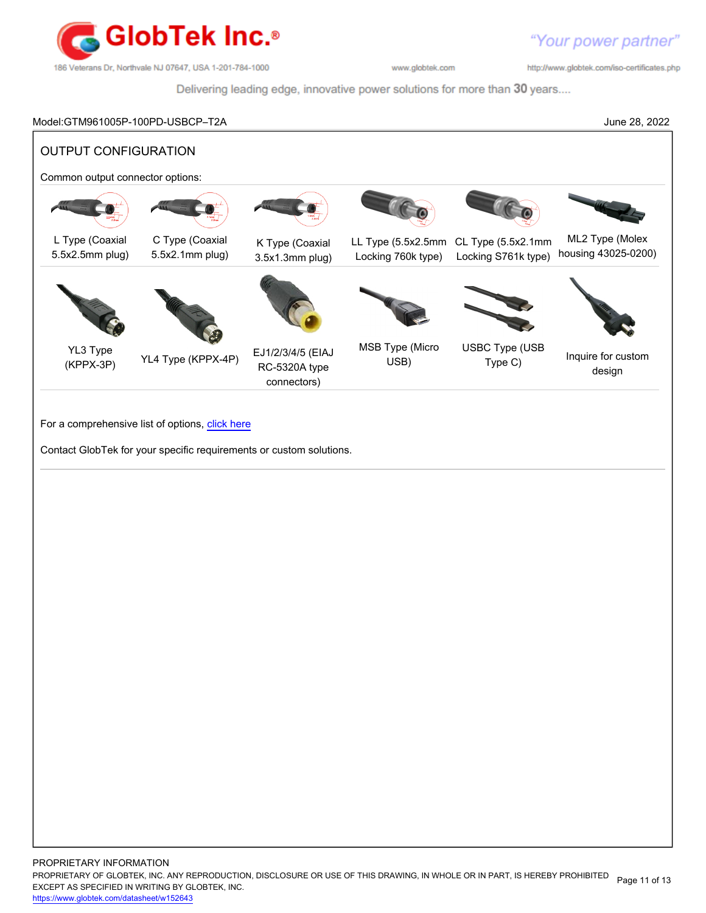

http://www.globtek.com/iso-certificates.php

Delivering leading edge, innovative power solutions for more than 30 years....

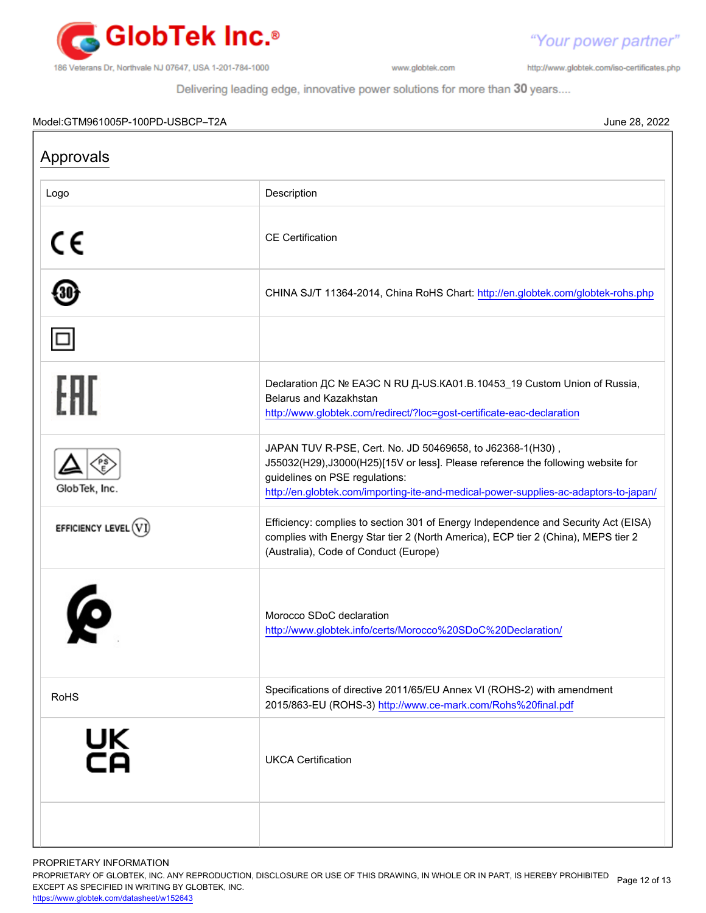

http://www.globtek.com/iso-certificates.php

"Your power partner"

Delivering leading edge, innovative power solutions for more than 30 years....

#### Model:GTM961005P-100PD-USBCP–T2A June 28, 2022

Approvals Logo **Description** CE CE Certification 30 CHINA SJ/T 11364-2014, China RoHS Chart:<http://en.globtek.com/globtek-rohs.php> Declaration ДС № ЕАЭС N RU Д-US.КА01.В.10453\_19 Custom Union of Russia, Belarus and Kazakhstan <http://www.globtek.com/redirect/?loc=gost-certificate-eac-declaration> JAPAN TUV R-PSE, Cert. No. JD 50469658, to J62368-1(H30) , J55032(H29),J3000(H25)[15V or less]. Please reference the following website for guidelines on PSE regulations: GlobTek, Inc. <http://en.globtek.com/importing-ite-and-medical-power-supplies-ac-adaptors-to-japan/> Efficiency: complies to section 301 of Energy Independence and Security Act (EISA) EFFICIENCY LEVEL  $(\widehat{\mathrm{VI}})$ complies with Energy Star tier 2 (North America), ECP tier 2 (China), MEPS tier 2 (Australia), Code of Conduct (Europe) Morocco SDoC declaration <http://www.globtek.info/certs/Morocco%20SDoC%20Declaration/> RoHS Specifications of directive 2011/65/EU Annex VI (ROHS-2) with amendment 2015/863-EU (ROHS-3)<http://www.ce-mark.com/Rohs%20final.pdf> UK<br>Co UKCA Certification

PROPRIETARY INFORMATION

PROPRIETARY OF GLOBTEK, INC. ANY REPRODUCTION, DISCLOSURE OR USE OF THIS DRAWING, IN WHOLE OR IN PART, IS HEREBY PROHIBITED Page 12 of 13<br>EXALER 10 OREGIEIER WILKENIG BY OLOREEK WO EXCEPT AS SPECIFIED IN WRITING BY GLOBTEK, INC.

<https://www.globtek.com/datasheet/w152643>